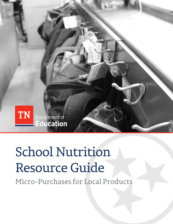

# **School Nutrition** Resource Guide

Micro-Purchases for Local Products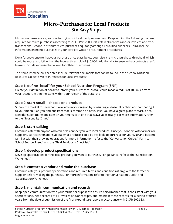

## **Micro-Purchases for Local Products Six Easy Steps**

Micro-purchases are a great tool for trying out local food procurement. Keep in mind the following that are required for micro-purchases according to 2 CFR Part 200. First, retain all receipts and/or invoices and track transactions. Second, distribute micro-purchases equitably among all qualified suppliers. Third, include information on micro-purchases in your district's written procurement procedures.

Don't forget to ensure that your purchase price stays below your district's micro-purchase threshold, which could be more restrictive than the federal threshold of \$10,000. Additionally, to ensure that contracts aren't broken, include a clause that allows for off-bid purchasing.

The items listed below each step include relevant documents that can be found in the "School Nutrition Resource Guide to Micro-Purchases for Local Products."

#### **Step 1: define "local" for your School Nutrition Program (SNP)**

Create your definition of "local" to inform your purchases. "Local" could mean a radius of 400 miles from your location, within the state, within your region of the state, etc.

#### **Step 2: start small—choose one product**

Survey the market to see what is available in your region by consulting a seasonality chart and comparing it to your menu. Can you find one item that is common on both? If so, you have a great place to start. If not, consider substituting one item on your menu with one that is available locally. For more information, refer to the "Seasonality Chart."

#### **Step 3: start talking**

Communicate with anyone who can help connect you with local produce. Once you connect with farmers or suppliers, start conversations about what products could be available to purchase for your SNP and become familiar with their growing operation. For more information, refer to the "Conversation Guide," "Farm to School Source Sheet," and the "Field Producers Checklist."

#### **Step 4: develop product specifications**

Develop specifications for the local product you want to purchase. For guidance, refer to the "Specification Worksheet."

#### **Step 5: contact a vendor and make the purchase**

Communicate your product specifications and required terms and conditions (if any) with the farmer or supplier before making the purchase. For more information, refer to the "Conversation Guide" and "SpecificationWorksheet."

#### **Step 6: maintain communication and records**

Keep open communication with your farmer or supplier to ensure performance that is consistent with your specifications. Keep records of all invoices and/or receipts, and maintain these records for a period of three years from the date of submission of the final expenditure report in accordance with 2 CFR 200.333.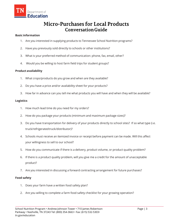

## **Micro-Purchases for Local Products Conversation Guide**

#### **Basic information**

- 1. Are you interested in supplying products to Tennessee School Nutrition programs?
- 2. Have you previously sold directly to schools or other institutions?
- 3. What is your preferred method of communication: phone, fax, email, other?
- 4. Would you be willing to host farm field trips for student groups?

#### **Product availability**

- 1. What crops/products do you grow and when are they available?
- 2. Do you have a price and/or availability sheet for your products?
- 3. How far in advance can you tell me what products you will have and when they will be available?

#### **Logistics**

- 1. How much lead time do you need for my orders?
- 2. How do you package your products (minimum and maximum package sizes)?
- 3. Do you have transportation for delivery of your products directly to school sites? If so what type (i.e. truck/refrigerated truck/distributor)?
- 4. Schools must receive an itemized invoice or receipt before payment can be made. Will this affect your willingness to sell to our school?
- 5. How do you communicate if there is a delivery, product volume, or product quality problem?
- 6. If there is a product quality problem, will you give me a credit for the amount of unacceptable product?
- 7. Are you interested in discussing a forward contracting arrangement for future purchases?

#### **Food safety**

- 1. Does your farm have a written food safety plan?
- 2. Are you willing to complete a farm food safety checklist for your growing operation?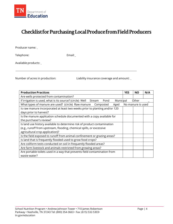

# Checklist for Purchasing Local Produce from Field Producers

Producer name:

Telephone: Email:

Available products:

Number of acres in production: Liability insurance coverage and amount:

| <b>Production Practices</b>                                                          | <b>YES</b> | <b>NO</b>         | N/A |
|--------------------------------------------------------------------------------------|------------|-------------------|-----|
| Are wells protected from contamination?                                              |            |                   |     |
| If irrigation is used, what is its source? (circle) Well Stream<br>Pond<br>Municipal |            | Other             |     |
| What types of manure are used? (circle) Raw manure<br>Composted<br>Aged              |            | No manure is used |     |
| Is raw manure incorporated at least two weeks prior to planting and/or 120           |            |                   |     |
| days prior to harvest?                                                               |            |                   |     |
| Is the manure application schedule documented with a copy available for              |            |                   |     |
| the purchaser's review?                                                              |            |                   |     |
| Is land use history available to determine risk of product contamination             |            |                   |     |
| (e.g., runoff from upstream, flooding, chemical spills, or excessive                 |            |                   |     |
| agricultural crop application)?                                                      |            |                   |     |
| Is the field exposed to runoff from animal confinement or grazing areas?             |            |                   |     |
| Is land that is frequently flooded used to grow food crops?                          |            |                   |     |
| Are coliform tests conducted on soil in frequently flooded areas?                    |            |                   |     |
| Are farm livestock and animals restricted from growing areas?                        |            |                   |     |
| Are portable toilets used in a way that prevents field contamination from            |            |                   |     |
| waste water?                                                                         |            |                   |     |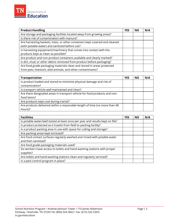| <b>Product Handling</b>                                                     | <b>YES</b> | NΟ | N/A |
|-----------------------------------------------------------------------------|------------|----|-----|
| Are storage and packaging facilities located away from growing areas?       |            |    |     |
| Is there risk of contamination with manure?                                 |            |    |     |
| Are harvesting baskets, totes, or other containers kept covered and cleaned |            |    |     |
| (with potable water) and sanitized before use?                              |            |    |     |
| Is harvesting equipment/machinery that comes into contact with the          |            |    |     |
| products kept as clean as possible?                                         |            |    |     |
| Are product and non-product containers available and clearly marked?        |            |    |     |
| Is dirt, mud, or other debris removed from product before packaging?        |            |    |     |
| Are food grade packaging materials clean and stored in areas protected      |            |    |     |
| from pets, livestock, wild animals, and other contaminants?                 |            |    |     |

| <b>Transportation</b>                                                      |  | <b>NO</b> | N/A |
|----------------------------------------------------------------------------|--|-----------|-----|
| Is product loaded and stored to minimize physical damage and risk of       |  |           |     |
| contamination?                                                             |  |           |     |
| Is transport vehicle well maintained and clean?                            |  |           |     |
| Are there designated areas in transport vehicle for food products and non- |  |           |     |
| food items?                                                                |  |           |     |
| Are products kept cool during transit?                                     |  |           |     |
| Are products delivered within a reasonable length of time (no more than 48 |  |           |     |
| hours)?                                                                    |  |           |     |

| <b>Facilities</b>                                                             | <b>YES</b> | <b>NO</b> | N/A |
|-------------------------------------------------------------------------------|------------|-----------|-----|
| Is potable water/well tested at least once per year and results kept on file? |            |           |     |
| Is product protected as it travels from field to packing facility?            |            |           |     |
| Is a product packing area in use with space for culling and storage?          |            |           |     |
| Are packing areas kept enclosed?                                              |            |           |     |
| Are food contact surfaces regularly washed and rinsed with potable water      |            |           |     |
| and then sanitized?                                                           |            |           |     |
| Are food grade packaging materials used?                                      |            |           |     |
| Do workers have access to toilets and hand washing stations with proper       |            |           |     |
| supplies?                                                                     |            |           |     |
| Are toilets and hand washing stations clean and regularly serviced?           |            |           |     |
| Is a pest control program in place?                                           |            |           |     |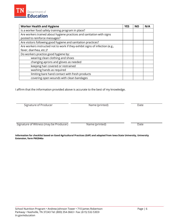**Worker Health and Hygiene YES NO N/A** Is a worker food safety training program in place? Are workers trained about hygiene practices and sanitation with signs posted to reinforce messages? Are visitors following good hygiene and sanitation practices? Are workers instructed not to work if they exhibit signs of infection (e.g., fever, diarrhea, etc.)? Do workers practice good hygiene by: wearing clean clothing and shoes changing aprons and gloves as needed keeping hair covered or restrained washing hands as required limiting bare hand contact with fresh products covering open wounds with clean bandages

I affirm that the information provided above is accurate to the best of my knowledge.

Signature of Producer **Name (printed)** Date

Department of Education

Signature of Witness (may be Producer) Name (printed) Date

**Information for checklist based on Good Agricultural Practices (GAP) and adapted from Iowa State University, University Extension, form PM2046a**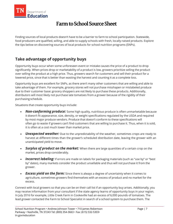

# **Farm to School Source Sheet**

Finding sources of local products doesn't have to be a barrier to farm to school participation. Statewide, food producers are qualified, willing, and able to supply schools with fresh, locally-raised products. Explore the tips below on discovering sources of local products for school nutrition programs (SNPs).

## **Take advantage of opportunity buys**

Opportunity buys occur when some unforeseen event or mistake causes the price of a product to drop significantly. When prices drop or marketability of a product is low, growers prioritize selling the product over selling the product at a high price. Thus, growers search for customers and sell their product for a lowered price, since that is better than wasting the harvest and counting it as a complete loss.

Opportunity buys are excellent for SNPs, as there aren't many other customers that are willing and able to take advantage of them. For example, grocery stores will not purchase misshapen or mislabeled produce due to their customer base: grocery shoppers are not likely to purchase these products. Additionally, distributors will most likely not purchase late tomatoes from a grower because of the rigidity of their purchasing schedule.

Situations that create opportunity buys include:

- *Non-conforming produce:* Some high quality, nutritious produce is often unmarketable because it doesn't fit appearance, size, density, or weight specifications regulated by the USDA and required by most major produce vendors. Produce that doesn't conform to these specifications will often go to waste if growers can't find customers that are willing to purchase it. Thus, when it is sold, it is often at a cost much lower than market price.
- **Unexpected weather:** Due to the unpredictability of the weather, sometimes crops are ready to harvest at different times than the grower's scheduled distribution date, leaving the grower with an unanticipated yield to move.
- *Surplus of product on the market:* When there are large quantities of a certain crop on the market, prices drop considerably.
- **Incorrect labeling:** If errors are made on labels for packaging materials (such as "use by" or "best by" dates), many markets consider the product unsellable and thus will not purchase it from the grower.
- *Excess yield on the farm:* Since there is always a degree of uncertainty when it comes to agriculture, sometimes growers find themselves with an excess of product and no market for the excess.

Connect with local growers so that you can be on their call list if an opportunity buy arises. Additionally, you may receive information from your consultant if the state agency learns of opportunity buys in your region. In July 2016 for example, Little Creek Farm in Cookeville had an excess of 6,000 pounds of tomatoes. The lead grower contacted the Farm to School Specialist in search of a school system to purchase them. The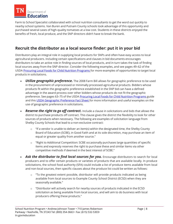

Farm to School Specialist collaborated with school nutrition consultants to get the word out quickly to nearby school systems. Van Buren and Putnam County schools took advantage of this opportunity and purchased several cases of high-quality tomatoes at a low cost. Students in these districts enjoyed the benefits of fresh, local produce, and the SNP directors didn't have to break the bank.

## **Recruit the distributor as a local source finder: put it in your bid**

Distributors play an integral role in supplying local products for SNPs and often have easy access to local agricultural producers. Including certain specifications and clauses in bid documents encourages distributors to take an active role in finding sources of local products, and in turn takes the task of finding local sources away from the SNP director. Consider the following examples, and see pages 49–62 of the USD[A Procuring Local Foods for Child Nutrition Programs f](http://www.fns.usda.gov/sites/default/files/f2s/F2S_Procuring_Local_Foods_Child_Nutrition_Prog_Guide.pdf)or more examples of opportunities to target local products in solicitations.

- *Utilize geographic preference.* The 2008 Farm Bill allows for geographic preference to be used in the procurement of unprocessed or minimally processed agricultural products. Bidders whose products fit within the geographic preference established in the SNP bid can have a defined advantage in the award process over other bidders whose products do not fit the geographic preference. See pages 63-75 of the USD[A Procuring Local Foods for Child Nutrition Programs g](http://www.fns.usda.gov/sites/default/files/f2s/F2S_Procuring_Local_Foods_Child_Nutrition_Prog_Guide.pdf)uide and this [USDA Geographic Preference Fact Sheet f](http://www.fns.usda.gov/sites/default/files/f2s/FactSheet_Geographic_Preference.pdf)or more information and useful examples on the use of geographic preference in solicitations.
- **Reserve the right to go off contract.** Include a clause in solicitations and bids that allows the district to purchase products off contract. This clause gives the district the flexibility to look for other sources of products when necessary. The following are examples of solicitation language from Shelby County Schools that lead to a non-exclusive contract:
	- $\circ$  "If a vendor is unable to deliver an item(s) within the designated time, the Shelby County Board of Education (SCBE), in Good Faith and at its sole discretion, may purchase an item of equal or greater quality from another source."
	- o "Right to Additional Competition: SCBE occasionally purchases large quantities of specific items and expressly reserves the right to purchase these and similar items via other competitive methods if deemed in the best interest of SCBE."
- Ask the distributor to find local sources for you. Encourage distributors to search for local producers and to offer certain products or varieties of products that are available locally. In produce solicitations, the school food authority (SFA) could include a list of produce items available from local and non-local sources, then specific clauses about the produce list could be written as follows:
	- $\circ$  "To the greatest extent possible, distributor will provide products indicated as being available from local sources to Example County School District (ECSD) when they are seasonally available."
	- o "Distributor will actively search for nearby sources of products indicated in the ECSD solicitation as being available from local sources, and will aim to do business with local producers offering these products."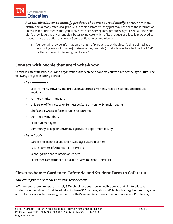

- **Ask the distributor to identify products that are sourced locally.** Chances are many distributors already offer local products to their customers; they just may not share the information unless asked. This means that you likely have been serving local products in your SNP all along and didn't know it! Ask your current distributor to indicate which of its products are locally-produced so that you have the option to choose. See specification example below:
	- $\circ$  "Vendor will provide information on origin of products such that local (being defined as a radius of [x amount of miles], statewide, regional, etc.) products may be identified by ECSD for the purpose of informing purchases."

## **Connect with people that are "in-the-know"**

Communicate with individuals and organizations that can help connect you with Tennessee agriculture. The following are great starting points:

#### *In the community*

- Local farmers, growers, and producers at farmers markets, roadside stands, and produce auctions
- Farmers market managers
- University of Tennessee or Tennessee State University Extension agents
- Chefs and owners of farm-to-table restaurants
- Community members
- Food hub managers
- Community college or university agriculture department faculty

#### *In the schools*

- Career and Technical Education (CTE) agriculture teachers
- Future Farmers of America (FFA) advisors
- School garden coordinators or leaders
- Tennessee Department of Education Farm to School Specialist

### **Closer to home: Garden to Cafeteria and Student Farm to Cafeteria**

#### *You can't get more local than the schoolyard!*

In Tennessee, there are approximately 350 school gardens growing edible crops that aim to educate students on the origin of food. In addition to those 350 gardens, almost 40 high school agriculture programs and FFA chapters in Tennessee grow produce that's served to students in school cafeterias. Purchasing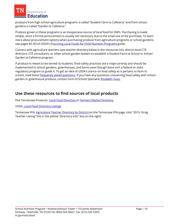

products from high school agriculture programs is called "Student Farm to Cafeteria" and from school gardens is called "Garden to Cafeteria."

Produce grown in these programs is an inexpensive source of local food for SNPs. Purchasing is made simple, since a formal procurement is usually not necessary due to the small size of the purchase. To learn more about procurement options when purchasing produce from agriculture programs or school gardens, see pages 82–83 of USDA's [Procuring Local Foods for Child Nutrition Programs g](http://www.fns.usda.gov/sites/default/files/f2s/F2S_Procuring_Local_Foods_Child_Nutrition_Prog_Guide.pdf)uide.

Connect with agriculture teachers (see teacher directory below in the resources list), district-level CTE directors, CTE consultants, or other school garden leaders to establish a Student Farm to School or School Garden to Cafeteria program.

If produce is meant to be served to students, food safety practices are a major priority and should be implemented in school gardens, greenhouses, and farms even though there isn't a federal or state regulatory program to guide it. To get an idea of USDA's stance on food safety as it pertains to farm to school, read these [frequently asked questions.](http://www.fns.usda.gov/farmtoschool/faqs-food-safety) If you have any questions concerning food safety with school garden or greenhouse produce, contact Farm to School Specialist [Elizabeth Goss.](mailto:Elizabeth.Goss@tn.gov)

## **Use these resources to find sources of local products**

Pick Tennessee Products[: Local Food Directory o](http://www.picktnproducts.org/food/index.html)r [Farmers Market Directory](https://agriculture.tn.gov/Marketing.asp?QSTRING=MKT)

USDA[: Local Food Directory Listings](https://www.ams.usda.gov/services/local-regional/food-directories-listings)

Tennessee FFA: **Agriculture Teacher Directory by District** (on the Tennessee FFA page, click "2015-16 Ag Teacher Listing" link in the yellow "Directory Info" box on the right)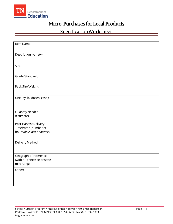

# **Micro-Purchases for Local Products**

# Specification Worksheet

| Item Name:                                                                  |  |
|-----------------------------------------------------------------------------|--|
| Description (variety):                                                      |  |
| Size:                                                                       |  |
| Grade/Standard:                                                             |  |
| Pack Size/Weight:                                                           |  |
| Unit (by lb., dozen, case):                                                 |  |
| Quantity Needed<br>(estimate):                                              |  |
| Post-Harvest Delivery<br>Timeframe (number of<br>hours/days after harvest): |  |
| Delivery Method:                                                            |  |
| Geographic Preference<br>(within Tennessee or state<br>mile range):         |  |
| Other:                                                                      |  |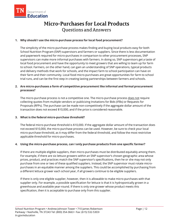

# **Micro-Purchases for Local Products Questions and Answers**

#### **1. Why should I use the micro-purchase process for local food procurement?**

The simplicity of the micro-purchase process makes finding and buying local products easy for both School Nutrition Program (SNP) supervisors and farmers or suppliers. Since there is less documentation and paperwork required for micro-purchases in comparison to other procurement processes, SNP supervisors can make more informal purchases with farmers. In doing so, SNP supervisors get a taste of local food procurement and have the opportunity to meet growers that are willing to team up for farm to school. Farmers, on the other hand, can gain an understanding of SNP operations, typical products and delivery methods that work for schools, and the impact farm to school participation can have on their farm and their community. Local food micro-purchases are great opportunities for farm to school trial runs, and can be the first step in creating lasting partnerships between farmers and schools.

#### **2. Are micro-purchases a form of competitive procurement like informal and formal procurement processes?**

The micro-purchase process is not a competitive one. The micro-purchase process does not require collecting quotes from multiple vendors or publicizing Invitations for Bids (IFBs) or Requests for Proposals (RFPs). The purchase can be made non-competitively if the aggregate dollar amount of the transaction does not exceed \$10,000, and if the price is considered reasonable.

#### **3. What is the federal micro-purchase threshold?**

The federal micro-purchase threshold is \$10,000. If the aggregate dollar amount of the transaction does not exceed \$10,000, the micro-purchase process can be used. However, be sure to check your local micro-purchase threshold, as it may differ from the federal threshold, and follow the most restrictive applicable threshold for micro-purchases.

#### **4. Using the micro-purchase process, can I only purchase products from one specific farmer?**

If there are multiple eligible suppliers, then micro-purchases must be distributed equitably among them. For example, if there are six lettuce growers within an SNP supervisor's chosen geographic area whose prices, product, and practices match the SNP supervisor's specifications, then he or she may not only purchase from one or two of these qualified suppliers. Instead, the SNP supervisor must rotate micropurchases in an equitable manner among the suppliers. This could be accomplished by purchasing from a different lettuce grower each school year, if all growers continue to be eligible suppliers.

If there is only one eligible supplier, however, then it is allowable to make micro-purchases with that supplier only. For example, a possible specification for lettuce is that it is hydroponically grown in a greenhouse and available year-round. If there is only one grower whose product meets this specification, then it is acceptable to purchase only from this supplier.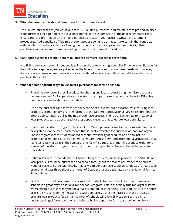

#### **5. What documentation should I maintain for micro-purchases?**

Track micro-purchases as you would all other SNP-related purchases, and maintain receipts and invoices from purchases for a period of three years from the date of submission of the final expenditure report. Ensure there is information on the micro-purchase process in your district's written procurement procedures. Additionally, if off-bid micro-purchases are going to be made, make certain that contracts with distributors include a clause allowing them. If no such clause appears in the contract, off-bid purchases are not allowed, regardless of appropriate procurement procedures.

#### **6. Can I split purchases to make them fall under the micro-purchase threshold?**

No. SNP supervisors cannot intentionally split a purchase from a single supplier if the only justification for the split is to keep the aggregate price below the federal or local micro-purchase threshold. However, there are some cases where transactions are considered separate, and thus may fall below the micropurchase threshold.

#### **7. What are some specific ways to use micro-purchases for farm to school?**

- First-time purchase of a local product: Purchasing one local product using the micro-purchase process can help SNP supervisors understand the impact farm to school can have in SNPs. See numbers one and eight for more details.
- One-time purchase for a farm to school event: Special events, such as taste tests featuring local products, promotional visits from farmers to the cafeteria, and seasonal harvest celebrations are great opportunities to utilize the micro-purchase process. In one transaction, up to \$10,000 of local products can be purchased for these special events that celebrate local agriculture.
- Harvest of the Month Program: Harvest of the Month programs involve featuring a different fruit or vegetable on the menu each month that is locally available for purchase at that time of year. These programs teach students about seasonal availability of produce and often include promotional materials such as posters, calendars, and stickers, and promotional activities such as taste tests, farmer visits in the cafeteria, and farm field trips. Each month's produce order for a Harvest of the Month program could be its own micro-purchase. See number eight below for more details.
- National Farm to School Month in October: Using the micro-purchase process, up to \$10,000 of local products could be purchased and served throughout the month of October to celebrate National Farm to School Month. Alternatively, a micro-purchase could be conducted for particular promotional days throughout the month of October that are designated by the National Farm to School Network.
- Pilot farm to school programs: Procuring local products for one school or a small number of schools is a great way to pilot a farm to school program. This is especially true for larger districts where micro-purchases may not be a realistic option for integrating local products into the entire district's SNP, considering the scale of usual purchases. Using the micro-purchase process to procure local products for a small number of schools will allow SNP supervisors to gain an understanding of farm to school and helps to build support for farm to school in the district.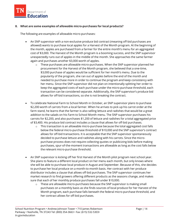

#### **8. What are some examples of allowable micro-purchases for local products?**

The following are examples of allowable micro-purchases:

- An SNP supervisor with a non-exclusive produce bid contract (meaning off-bid purchases are allowed) wants to purchase local apples for a Harvest of the Month program. At the beginning of the month, apples are purchased from a farmer for the entire month's menu for an aggregated cost of \$3,000. The Harvest of the Month program is a booming success, and the SNP supervisor unexpectedly runs out of apples in the middle of the month. She approaches the same farmer again and purchases another \$3,000 worth of apples.
	- $\circ$  These purchases are allowable micro-purchases. When the SNP supervisor planned her procurement for the Harvest of the Month program, she believed that a one-time, \$3,000 purchase of apples would be sufficient for her month's menu. Due to the popularity of the program, she ran out of apples before the end of the month and needed to purchase more in order to continue the program and keep consistency with her menu. Since the SNP supervisor did not plan on intentionally splitting her order to keep the aggregated costs of each purchase under the micro-purchase threshold, each transaction can be considered separate. Additionally, the SNP supervisor's produce bid allows for off-bid transactions, so she is not breaking the contract.
- To celebrate National Farm to School Month in October, an SNP supervisor plans to purchase \$2,200 worth of carrots from a local farmer. When he arrives to pick up his carrot order at the farm stand, he learns that the farmer is also selling lettuce and radishes that would be a great addition to the salads on his Farm to School Month menu. The SNP supervisor purchases his carrots for \$2,200, and also purchases \$1,200 of lettuce and radishes for a total aggregated price of \$3,400. His produce bid contract includes a clause that allows for off-bid purchases.
	- o This transaction is an allowable micro-purchase because the total aggregated cost falls below the federal micro-purchase threshold of \$10,000 and the SNP supervisor's contract allows for off-bid transactions. It is acceptable that the SNP supervisor spontaneously decided to purchase lettuce and radishes along with his carrots. Since the micropurchase process does not require collecting quotes or publicizing bids before making purchases, spur-of-the-moment transactions are allowable as long as the cost falls below the relevant micro-purchase threshold.
- An SNP supervisor is kicking off her first Harvest of the Month pilot program next school year. She plans to feature a different local product on her menu each month, but only knows where she will be able to purchase local produce in August and September. Because of this, she decides to purchase her local produce on a month-to-month basis. Her contract with her produce distributor includes a clause that allows off-bid purchases. The SNP supervisor continues her market research to find growers offering different products as the seasons change, and makes sure that each of her monthly produce purchases fall under \$10,000.
	- $\circ$  These are allowable micro-purchases because the SNP supervisor is making small purchases on a monthly basis as she finds sources of local produce for her Harvest of the Month program, each purchase falls beneath the federal micro-purchase threshold, and her contract allows for off-bid purchases.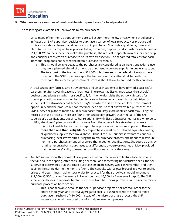

#### **9. What are some examples of unallowable micro-purchases for local products?**

The following are examples of unallowable micro-purchases:

- Since many of her menu's popular items are still at summertime low prices when school begins in August, an SNP supervisor decides to purchase a variety of local produce. Her produce bid contract includes a clause that allows for off-bid purchases. She finds a qualified grower and plans to use the micro-purchase process to buy tomatoes, peppers, and squash for a total cost of \$11,000. When the supervisor makes the purchase, she requests separate invoices for each crop and considers each crop's purchase to be its own transaction. The separated total cost for each individual crop does not exceed the micro-purchase threshold.
	- $\circ$  This is not allowable because the purchases are considered as a single transaction since they were planned ahead of time to be purchased from one supplier in one transaction. The total cost of the transaction is \$11,000, which exceeds the federal micro-purchase threshold. The SNP supervisor split the transaction cost so that if fell beneath the threshold. The informal procurement process should have been used for this purchase.
- A local strawberry farm, Sissy's Strawberries, and an SNP supervisor have formed a successful partnership after several seasons of business. The grower at Sissy's anticipates the schools' business and plants strawberries specifically for their order, visits the school cafeterias for special promotional events when her berries are on the menu, and even hosts field trips for students at the strawberry patch. Since Sissy's Strawberries is an excellent local procurement opportunity and the produce bid contract includes a clause that allows off-bid purchases, the SNP supervisor plans to make a \$3,000 purchase from Sissy's Strawberries each May using the micro-purchase process. There are four other strawberry growers that meet all of the SNP supervisor's qualifications, but since her relationship with Sissy's Strawberries has grown to be so fruitful, she doesn't plan on soliciting business from the other eligible strawberry growers.
	- o It is not allowable to use the micro-purchase process with only one supplier **if there is more than one that is eligible***.* Micro-purchases must be distributed equitably among all qualified suppliers (see No. 4 above). Thus, if the SNP supervisor wants to continue purchasing local strawberries using the micro-purchase process, she needs to distribute her micro-purchases among all growers that meet her qualifications. She could do this by rotating her strawberry purchases to a different strawberry grower each May, provided that the growers' ability to meet her qualifications remains the same.
- An SNP supervisor with a non-exclusive produce bid contract wants to feature local broccoli in the fall and in the spring. After consulting her menu and forecasting her district's needs, the SNP supervisor determines that she could purchase 30 bushels every week in November, and then again in the spring during the month of April. She consults with a local broccoli grower to get his prices and determines that her total order for broccoli for the school year would amount to \$11,000 (\$5,500 total for five weeks in November, and \$5,500 for five weeks in April). The SNP supervisor decides to separate her fall purchases from her spring purchases and uses the micropurchase process on both orders.
	- o This is not allowable because the SNP supervisor projected her broccoli order for the entire school year, and its total aggregated cost (\$11,000) exceeds the federal micropurchase threshold of \$10,000. Instead of the micro-purchase process, the SNP supervisor should have used the informal procurement process.